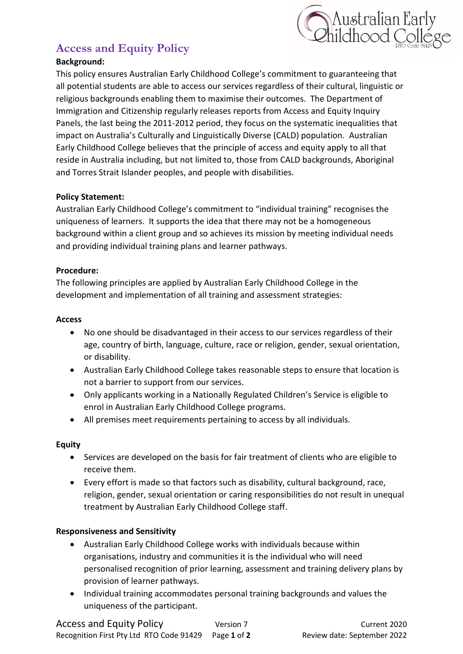

# **Access and Equity Policy**

## **Background:**

This policy ensures Australian Early Childhood College's commitment to guaranteeing that all potential students are able to access our services regardless of their cultural, linguistic or religious backgrounds enabling them to maximise their outcomes. The Department of Immigration and Citizenship regularly releases reports from Access and Equity Inquiry Panels, the last being the 2011-2012 period, they focus on the systematic inequalities that impact on Australia's Culturally and Linguistically Diverse (CALD) population. Australian Early Childhood College believes that the principle of access and equity apply to all that reside in Australia including, but not limited to, those from CALD backgrounds, Aboriginal and Torres Strait Islander peoples, and people with disabilities.

### **Policy Statement:**

Australian Early Childhood College's commitment to "individual training" recognises the uniqueness of learners. It supports the idea that there may not be a homogeneous background within a client group and so achieves its mission by meeting individual needs and providing individual training plans and learner pathways.

#### **Procedure:**

The following principles are applied by Australian Early Childhood College in the development and implementation of all training and assessment strategies:

#### **Access**

- No one should be disadvantaged in their access to our services regardless of their age, country of birth, language, culture, race or religion, gender, sexual orientation, or disability.
- Australian Early Childhood College takes reasonable steps to ensure that location is not a barrier to support from our services.
- Only applicants working in a Nationally Regulated Children's Service is eligible to enrol in Australian Early Childhood College programs.
- All premises meet requirements pertaining to access by all individuals.

### **Equity**

- Services are developed on the basis for fair treatment of clients who are eligible to receive them.
- Every effort is made so that factors such as disability, cultural background, race, religion, gender, sexual orientation or caring responsibilities do not result in unequal treatment by Australian Early Childhood College staff.

### **Responsiveness and Sensitivity**

- Australian Early Childhood College works with individuals because within organisations, industry and communities it is the individual who will need personalised recognition of prior learning, assessment and training delivery plans by provision of learner pathways.
- Individual training accommodates personal training backgrounds and values the uniqueness of the participant.